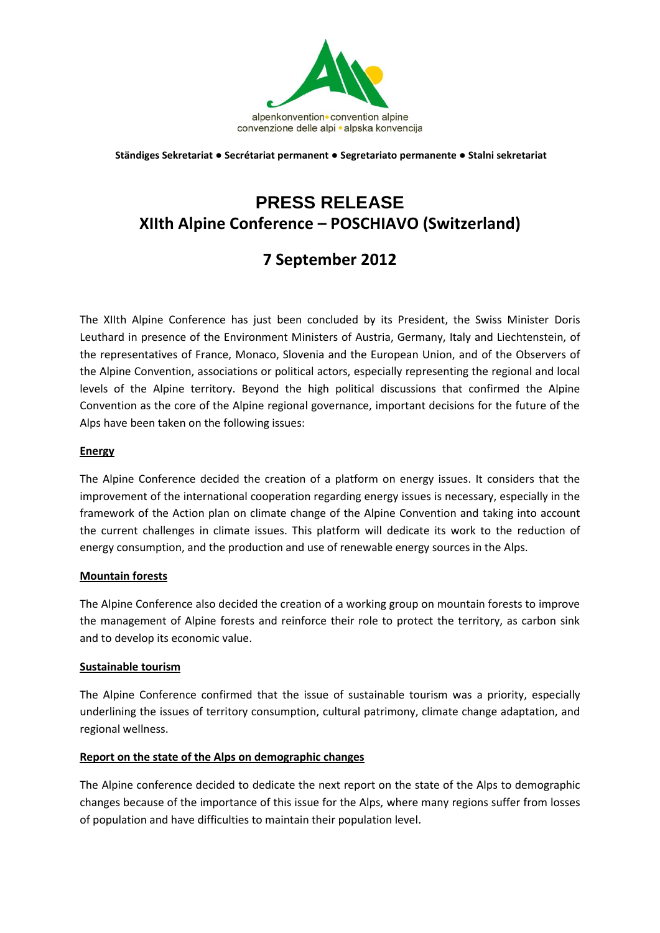

**Ständiges Sekretariat ● Secrétariat permanent ● Segretariato permanente ● Stalni sekretariat**

# **PRESS RELEASE XIIth Alpine Conference – POSCHIAVO (Switzerland)**

## **7 September 2012**

The XIIth Alpine Conference has just been concluded by its President, the Swiss Minister Doris Leuthard in presence of the Environment Ministers of Austria, Germany, Italy and Liechtenstein, of the representatives of France, Monaco, Slovenia and the European Union, and of the Observers of the Alpine Convention, associations or political actors, especially representing the regional and local levels of the Alpine territory. Beyond the high political discussions that confirmed the Alpine Convention as the core of the Alpine regional governance, important decisions for the future of the Alps have been taken on the following issues:

#### **Energy**

The Alpine Conference decided the creation of a platform on energy issues. It considers that the improvement of the international cooperation regarding energy issues is necessary, especially in the framework of the Action plan on climate change of the Alpine Convention and taking into account the current challenges in climate issues. This platform will dedicate its work to the reduction of energy consumption, and the production and use of renewable energy sources in the Alps.

#### **Mountain forests**

The Alpine Conference also decided the creation of a working group on mountain forests to improve the management of Alpine forests and reinforce their role to protect the territory, as carbon sink and to develop its economic value.

#### **Sustainable tourism**

The Alpine Conference confirmed that the issue of sustainable tourism was a priority, especially underlining the issues of territory consumption, cultural patrimony, climate change adaptation, and regional wellness.

### **Report on the state of the Alps on demographic changes**

The Alpine conference decided to dedicate the next report on the state of the Alps to demographic changes because of the importance of this issue for the Alps, where many regions suffer from losses of population and have difficulties to maintain their population level.